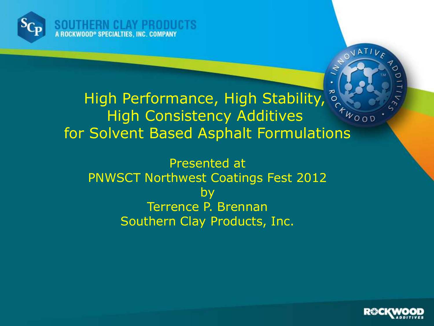

High Performance, High Stability,  $\int_{\tau_{w_{\rm{OO}}}r}^{\infty}$ High Consistency Additives for Solvent Based Asphalt Formulations

Presented at PNWSCT Northwest Coatings Fest 2012 by Terrence P. Brennan Southern Clay Products, Inc.



OVATIVE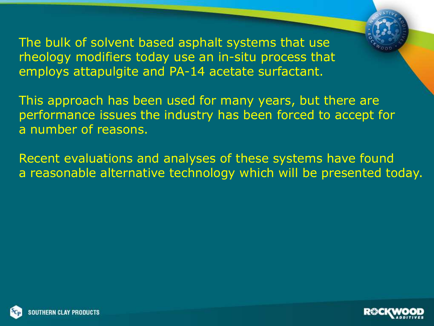The bulk of solvent based asphalt systems that use rheology modifiers today use an in-situ process that employs attapulgite and PA-14 acetate surfactant.

This approach has been used for many years, but there are performance issues the industry has been forced to accept for a number of reasons.

Recent evaluations and analyses of these systems have found a reasonable alternative technology which will be presented today.



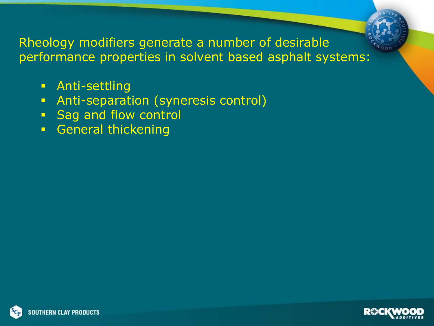

- **Anti-settling**
- **Anti-separation (syneresis control)**
- **Sag and flow control**
- **General thickening**



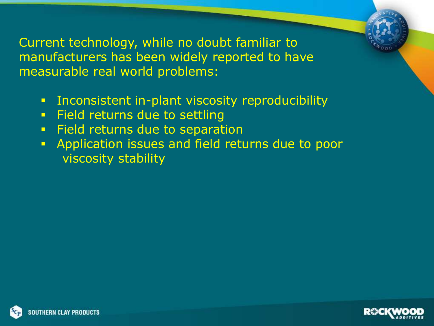Current technology, while no doubt familiar to manufacturers has been widely reported to have measurable real world problems:

- **EXEDENT:** Inconsistent in-plant viscosity reproducibility
- **Field returns due to settling**
- **Field returns due to separation**
- **Application issues and field returns due to poor** viscosity stability



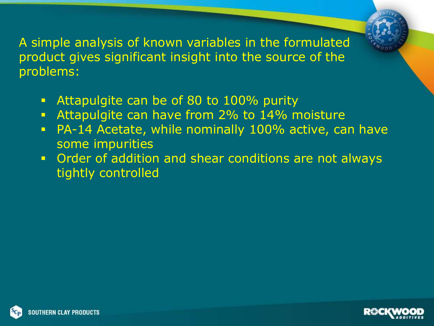A simple analysis of known variables in the formulated product gives significant insight into the source of the problems:

- **Attapulgite can be of 80 to 100% purity**
- **Attapulgite can have from 2% to 14% moisture**
- PA-14 Acetate, while nominally 100% active, can have some impurities
- **Order of addition and shear conditions are not always** tightly controlled



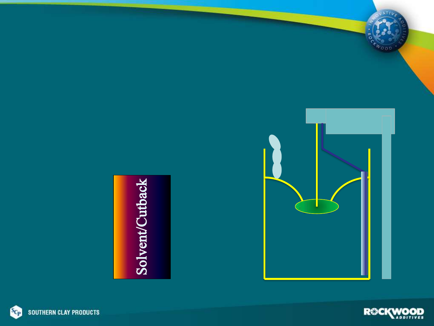







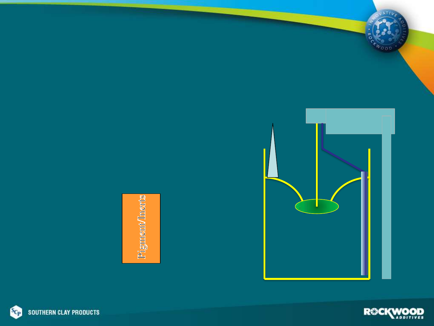





IATIV

twood

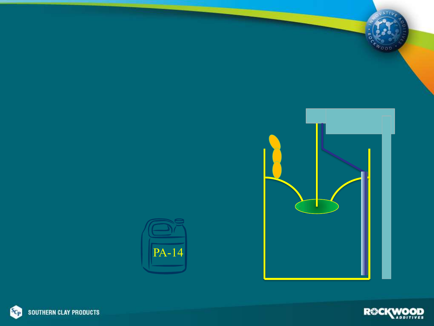





IATIL

 $v_{\rm con}$ 

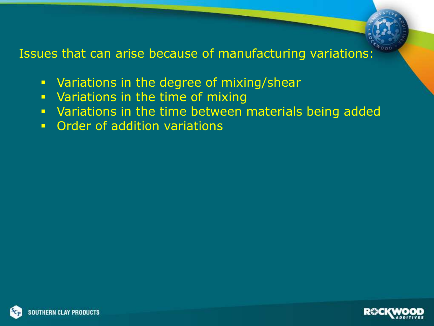

- Variations in the degree of mixing/shear
- **Variations in the time of mixing**
- Variations in the time between materials being added
- **Order of addition variations**



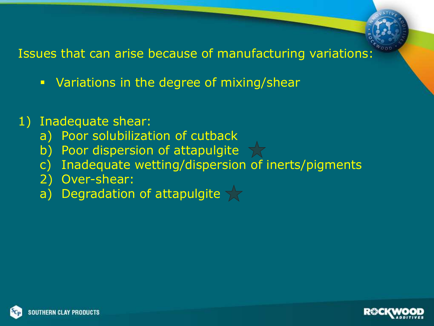- **Variations in the degree of mixing/shear**
- 1) Inadequate shear:
	- a) Poor solubilization of cutback
	- b) Poor dispersion of attapulgite
	- c) Inadequate wetting/dispersion of inerts/pigments
	- 2) Over-shear:
	- a) Degradation of attapulgite  $\sqrt{7}$



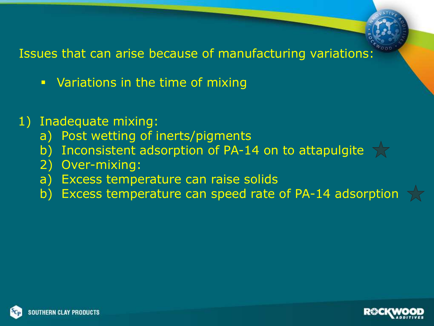

- **•** Variations in the time of mixing
- 1) Inadequate mixing:
	- a) Post wetting of inerts/pigments
	- b) Inconsistent adsorption of PA-14 on to attapulgite  $\sqrt{2}$
	- 2) Over-mixing:
	- a) Excess temperature can raise solids
	- b) Excess temperature can speed rate of PA-14 adsorption



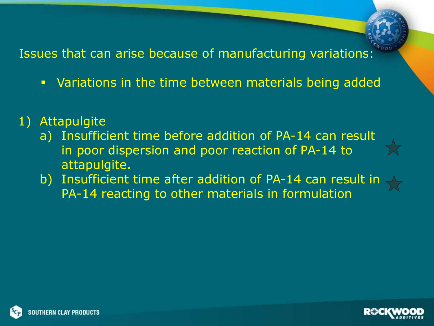- Variations in the time between materials being added
- 1) Attapulgite
	- a) Insufficient time before addition of PA-14 can result in poor dispersion and poor reaction of PA-14 to attapulgite.
	- b) Insufficient time after addition of PA-14 can result in PA-14 reacting to other materials in formulation



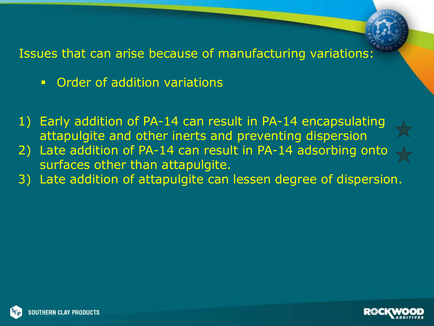- **Order of addition variations**
- 1) Early addition of PA-14 can result in PA-14 encapsulating attapulgite and other inerts and preventing dispersion
- 2) Late addition of PA-14 can result in PA-14 adsorbing onto surfaces other than attapulgite.
- 3) Late addition of attapulgite can lessen degree of dispersion.



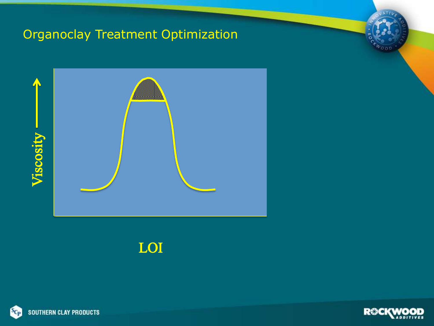#### Organoclay Treatment Optimization



#### LOI



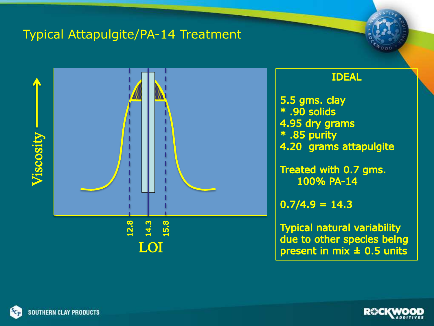#### Typical Attapulgite/PA-14 Treatment



#### **IDEAL**

5.5 gms. clay \* .90 solids 4.95 dry grams \* .85 purity 4.20 grams attapulgite

Treated with 0.7 gms. 100% PA-14

 $0.7/4.9 = 14.3$ 

**Typical natural variability** due to other species being present in mix  $\pm$  0.5 units



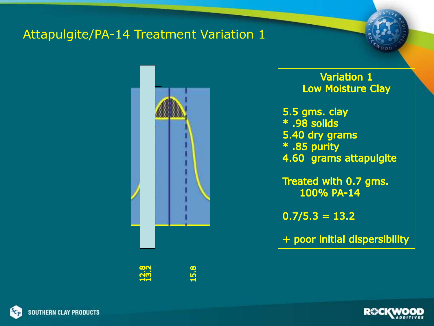#### Attapulgite/PA-14 Treatment Variation 1





**Variation 1 Low Moisture Clay** 

5.5 gms. clay \* .98 solids 5.40 dry grams \* .85 purity 4.60 grams attapulgite

Treated with 0.7 gms. 100% PA-14

 $0.7/5.3 = 13.2$ 

+ poor initial dispersibility



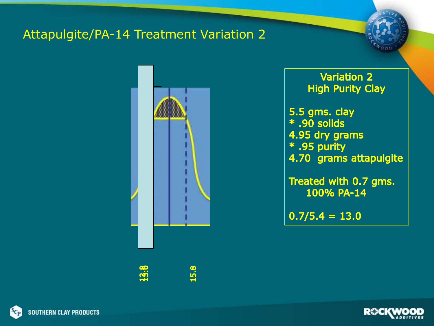#### Attapulgite/PA-14 Treatment Variation 2



**Variation 2 High Purity Clay** 

5.5 gms. clay \* .90 solids 4.95 dry grams \* .95 purity 4.70 grams attapulgite

Treated with 0.7 gms. 100% PA-14

 $0.7/5.4 = 13.0$ 



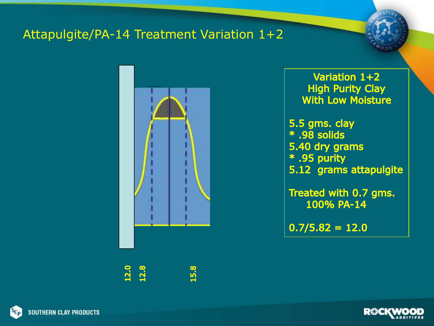#### Attapulgite/PA-14 Treatment Variation 1+2

12.0<br>12.8 15.8

Variation 1+2 **High Purity Clay With Low Moisture** 

5.5 gms. clay \* .98 solids 5.40 dry grams \* .95 purity 5.12 grams attapulgite

Treated with 0.7 gms. 100% PA-14

 $0.7/5.82 = 12.0$ 



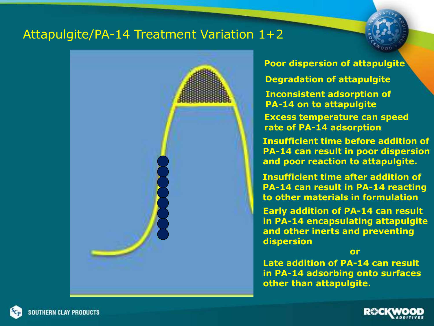#### Attapulgite/PA-14 Treatment Variation 1+2



**Poor dispersion of attapulgite**

**Degradation of attapulgite**

**Inconsistent adsorption of PA-14 on to attapulgite**

**Excess temperature can speed rate of PA-14 adsorption**

**Insufficient time before addition of PA-14 can result in poor dispersion and poor reaction to attapulgite.**

**Insufficient time after addition of PA-14 can result in PA-14 reacting to other materials in formulation**

**Early addition of PA-14 can result in PA-14 encapsulating attapulgite and other inerts and preventing dispersion**

**or**

**Late addition of PA-14 can result in PA-14 adsorbing onto surfaces other than attapulgite.**

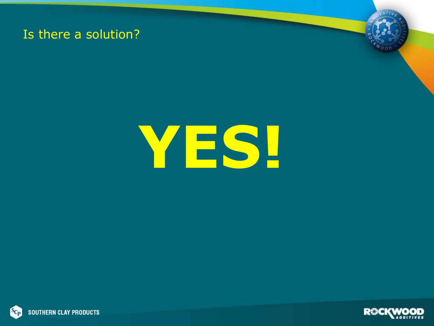#### Is there a solution?



# **YES!**



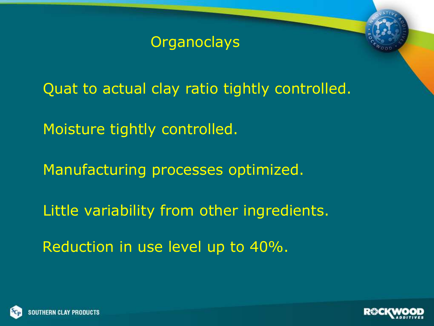Quat to actual clay ratio tightly controlled.

Moisture tightly controlled.

Manufacturing processes optimized.

Little variability from other ingredients.

Reduction in use level up to 40%.



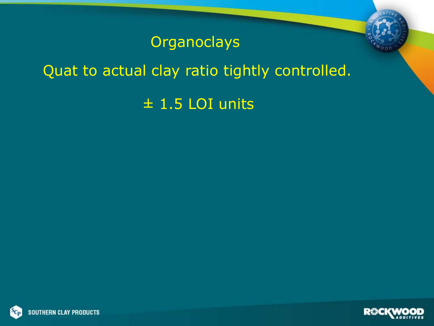## Quat to actual clay ratio tightly controlled.

# ± 1.5 LOI units



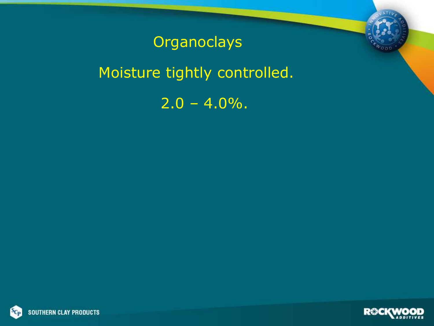Moisture tightly controlled.

 $2.0 - 4.0\%$ .



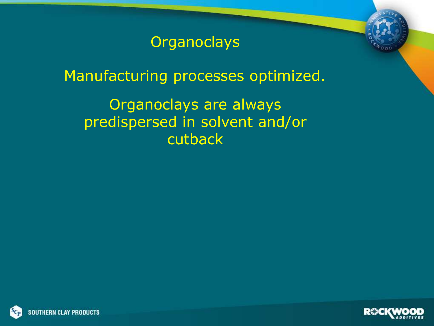Manufacturing processes optimized.

Organoclays are always predispersed in solvent and/or cutback



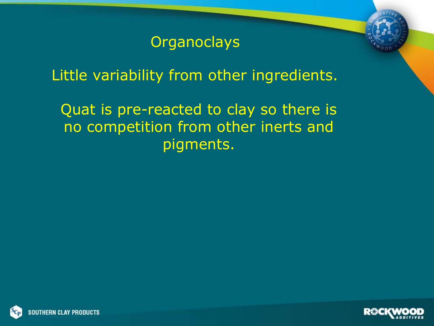Little variability from other ingredients.

Quat is pre-reacted to clay so there is no competition from other inerts and pigments.



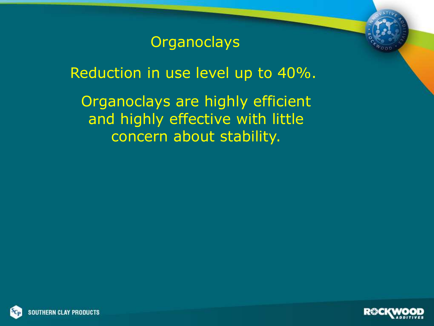Reduction in use level up to 40%.

Organoclays are highly efficient and highly effective with little concern about stability.



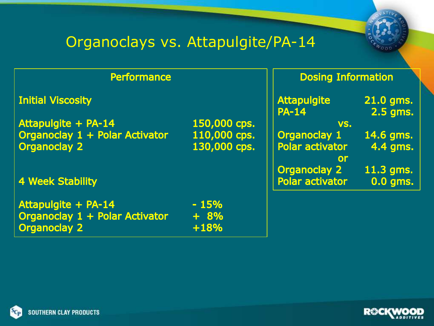# Organoclays vs. Attapulgite/PA-14

| <b>Performance</b>                                                                  |                              | <b>Dosing Information</b>                                  |                         |
|-------------------------------------------------------------------------------------|------------------------------|------------------------------------------------------------|-------------------------|
| <b>Initial Viscosity</b>                                                            |                              | <b>Attapulgite</b><br><b>PA-14</b>                         | 21.0 gms.<br>2.5 gms.   |
| Attapulgite + PA-14                                                                 | 150,000 cps.                 | VS.                                                        |                         |
| Organoclay 1 + Polar Activator<br><b>Organoclay 2</b>                               | 110,000 cps.<br>130,000 cps. | <b>Organoclay 1</b><br><b>Polar activator</b><br><b>Or</b> | 14.6 gms.<br>4.4 gms.   |
| <b>4 Week Stability</b>                                                             |                              | <b>Organoclay 2</b><br><b>Polar activator</b>              | $11.3$ gms.<br>0.0 gms. |
| <b>Attapulgite + PA-14</b><br>Organoclay 1 + Polar Activator<br><b>Organoclay 2</b> | $-15%$<br>$+ 8%$<br>$+18%$   |                                                            |                         |



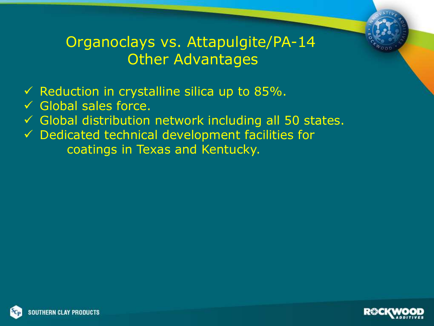## Organoclays vs. Attapulgite/PA-14 Other Advantages

- $\checkmark$  Reduction in crystalline silica up to 85%.
- $\checkmark$  Global sales force.
- $\checkmark$  Global distribution network including all 50 states.
- $\checkmark$  Dedicated technical development facilities for coatings in Texas and Kentucky.



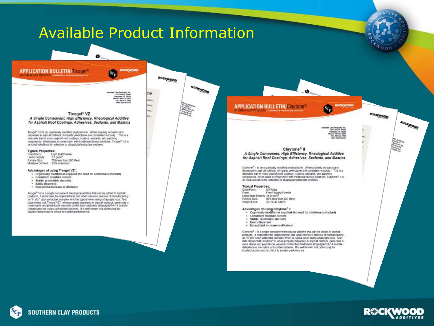#### **Available Product Information APPLICATION BULLETIN/TIXOGEL BOOKWOOD** Yср ROCKWOOD BOOMPOOR 850, 475, 496 **MOCKWOOD APPLICATION BULLETIN/Claytones** YСр Tixogel<sup>®</sup> VZ A Single Component, High Efficiency, Rheological Additive 120 Charla Mr. organies, TV 1562<br>Long BBD-326-200<br>Pax: RSS-672-1903 Claytone<sup>®</sup> II A Single Component, High Efficiency, Rheological Additive for Asphalt Roof Coatings, Adhesives, Sealants, and Mastics Claytone® It is an organically modified phytosticate. When property activated and dispersed in asphalt cutback, it imparts predictable and consistent viscosity. This is a desirable trait in many asphalt roof coatings, mastics, sealants, and patching compounds. When used in conjunction with traditional fibrous additives, Claytone® II is an ideal substitute for astestos or attapuigle/surfactant systems. **Typical Properties:** Of White<br>Free Flowing Powder Colon Form: Form: Loose Bulk Density: 26.0 Em/E<sup>8</sup> 85% less than 200 Mesh Particle Size: Weight Loss: 37.0% at 1000°C Advantages of using Claytone" II:<br>• Organically modified as supplied (No need for additional surfactant) · Consistent moisture content · Stable, predictable viscosity · Eastly dispersed · Exceptional increase in efficiency Claytone® II is a single component meological additive that can be added to asphalt products. It eliminates the unpredictable and labor intensive process of manufacturing an "in situ" clay! surfactant complex which is typical when using attapulgite clay. Test data shows that Claytone® ii, when properly dispersed in asphalt cutback, generates a more stable and predictable viscosity profile than traditional attapulgite/PA-14 acetate detradecene co-mateic anhydride) systems. It is well known that optimizing the stayleurlactant ratio is critical to system performance.



ROCKWOOD

Bookhoop

**SOUTHERN CLAY PRODUCTS** 

#### for Asphalt Roof Coatings, Adhesives, Sealants, and Mastics

Tinogel<sup>e</sup> VZ is an organically modified phyllosiicate. When property activated and<br>dispersed in asphalt cuttuasi, it imparts predictable and consistent viscosity. This is a desirable trait in many asphalt ruof coatings, mastics, seatants, and patching. compounds. When used in conjunction with traditional fibrous additives, Tirogel® VZ is an ideal substitute for asbestos or attapuigits/surfactant systems.

#### **Typical Properties:**

Light Buff Powder<br>1.7 g/cm<sup>3</sup> Coloulf orm: Loose Derafty 70% less fran 200 Mesh Particle Size: 3.0% maximum Moniture Content

#### Advantages of using Tixogel VZ":

· Organically modified as supplied (No need for additional surfactant)

- · Consistent moisture content
- · Stable, predictable viscosity
- · Easily dispersed
- · Exceptional increase in efficiency

Tisoget<sup>®</sup> V2 is a single component meological additive that can be added to asphalt products. It eliminates the angredictable and labor intensive process of manufacturing<br>an "in situ" clay! surfacturit complex which is typical when using attapulgite clay. Test data shows that Trogel V2", when properly depersed in asphalt cuttock, generates a more stable and predictable viscosity profile than traditional altapulgite/PA-14 acetate detradecene co-maleic arrhydride) systems. It is well known that optimizing the clay/surfactant ratio is critical to system performance.